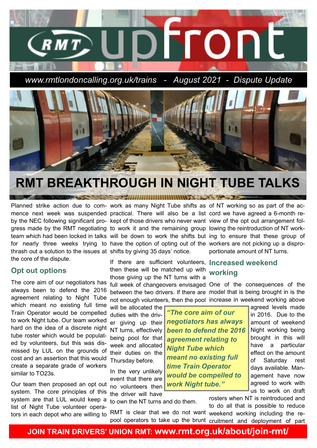

*www.rmtlondoncalling.org.uk/trains - August 2021 - Dispute Update*



## **RMT BREAKTHROUGH IN NIGHT TUBE TALKS**

SECTION IN INTITUDINAL SECTION 20

mence next week was suspended practical. There will also be a list cord we have agreed a 6-month reby the NEC following significant pro- kept of those drivers who never want view of the opt out arrangement folgress made by the RMT negotiating to work it and the remaining group lowing the reintroduction of NT workfor nearly three weeks trying to have the option of opting out of the workers are not picking up a disprothrash out a solution to the issues at shifts by giving 35 days' notice. the core of the dispute.

### **Opt out options**

The core aim of our negotiators has always been to defend the 2016 agreement relating to Night Tube which meant no existing full time Train Operator would be compelled to work Night tube. Our team worked hard on the idea of a discrete night tube roster which would be populated by volunteers, but this was dismissed by LUL on the grounds of cost and an assertion that this would create a separate grade of workers similar to TO23s.

Our team then proposed an opt out system. The core principles of this system are that LUL would keep a list of Night Tube volunteer opera-

Planned strike action due to com- work as many Night Tube shifts as of NT working so as part of the ac-

If there are sufficient volunteers, **Increased weekend**  then these will be matched up with **working** those giving up the NT turns with a

full week of changeovers envisaged One of the consequences of the between the two drivers. If there are model that is being brought in is the not enough volunteers, then the pool increase in weekend working above

will be allocated the duties with the driver giving up their NT turns, effectively being pool for that week and allocated their duties on the Thursday before.

In the very unlikely event that there are no volunteers then the driver will have

to own the NT turns and do them.

*"The core aim of our negotiators has always been to defend the 2016 agreement relating to Night Tube which meant no existing full time Train Operator would be compelled to work Night tube."*

team which had been locked in talks will be down to work the shifts but ing to ensure that these group of portionate amount of NT turns.

agreed levels made in 2016. Due to the amount of weekend Night working being brought in this will have a particular effect on the amount of Saturday rest days available. Management have now agreed to work with us to work on draft

rosters when NT is reintroduced and to do all that is possible to reduce

tors in each depot who are willing to RMT is clear that we do not want weekend working including the repool operators to take up the brunt cruitment and deployment of part